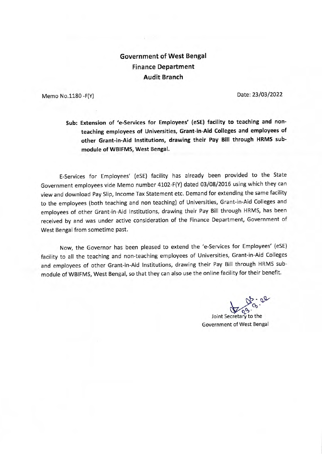## **Government of West Bengal Finance Department Audit Branch**

Memo No.1180 -F(Y)

Date: 23/03/2022

## **Sub: Extension of 'e-Services for Employees' (eSE) facility to teaching and nonteaching employees of Universities, Grant-in-Aid Colleges and employees of other Grant-in-Aid Institutions, drawing their Pay Bill through HRMS submodule of WBIFMS, West Bengal.**

E-Services for Employees' (eSE) facility has already been provided to the State Government employees vide Memo number 4102-F(Y) dated 03/08/2016 using which they can view and download Pay Slip, Income Tax Statement etc. Demand for extending the same facility to the employees (both teaching and non teaching) of Universities, Grant-in-Aid Colleges and employees of other Grant-in-Aid Institutions, drawing their Pay Bill through HRMS, has been received by and was under active consideration of the Finance Department, Government of West Bengal from sometime past.

Now, the Governor has been pleased to extend the 'e-Services for Employees' (eSE) facility to all the teaching and non-teaching employees of Universities, Grant-in-Aid Colleges and employees of other Grant-in-Aid Institutions, drawing their Pay Bill through HRMS submodule of WBIFMS, West Bengal, so that they can also use the online facility for their benefit.

Joint Secretary to the

Government of West Bengal